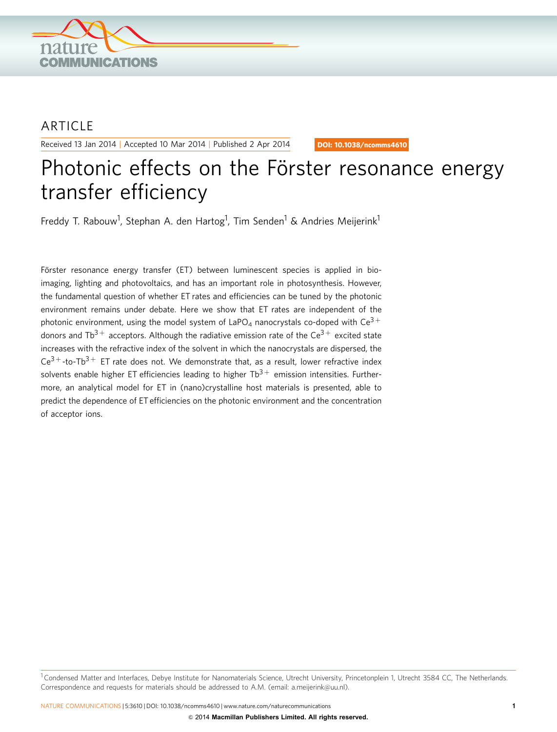

## ARTICLE

Received 13 Jan 2014 | Accepted 10 Mar 2014 | Published 2 Apr 2014

DOI: 10.1038/ncomms4610

# Photonic effects on the Förster resonance energy transfer efficiency

Freddy T. Rabouw<sup>1</sup>, Stephan A. den Hartog<sup>1</sup>, Tim Senden<sup>1</sup> & Andries Meijerink<sup>1</sup>

Förster resonance energy transfer (ET) between luminescent species is applied in bioimaging, lighting and photovoltaics, and has an important role in photosynthesis. However, the fundamental question of whether ET rates and efficiencies can be tuned by the photonic environment remains under debate. Here we show that ET rates are independent of the photonic environment, using the model system of LaPO<sub>4</sub> nanocrystals co-doped with  $\text{Ce}^{3+}$ donors and Tb<sup>3+</sup> acceptors. Although the radiative emission rate of the Ce<sup>3+</sup> excited state increases with the refractive index of the solvent in which the nanocrystals are dispersed, the  $Ce^{3}$ +-to-Tb<sup>3+</sup> ET rate does not. We demonstrate that, as a result, lower refractive index solvents enable higher ET efficiencies leading to higher  $Tb^{3+}$  emission intensities. Furthermore, an analytical model for ET in (nano)crystalline host materials is presented, able to predict the dependence of ET efficiencies on the photonic environment and the concentration of acceptor ions.

<sup>1</sup> Condensed Matter and Interfaces, Debye Institute for Nanomaterials Science, Utrecht University, Princetonplein 1, Utrecht 3584 CC, The Netherlands. Correspondence and requests for materials should be addressed to A.M. (email: [a.meijerink@uu.nl\)](mailto:a.meijerink@uu.nl).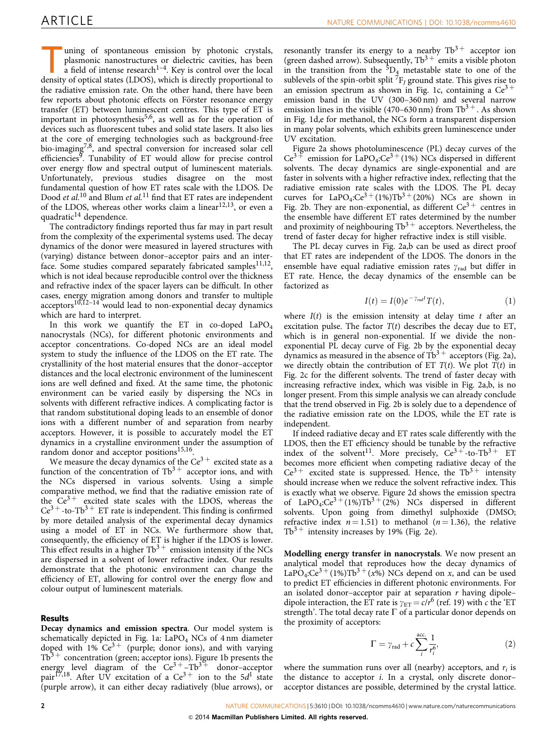uning of spontaneous emission by photonic crystals,<br>plasmonic nanostructures or dielectric cavities, has been<br>a field of intense research<sup>1–4</sup>. Key is control over the local<br>density of ontical states (I DOS) which is dire plasmonic nanostructures or dielectric cavities, has been density of optical states (LDOS), which is directly proportional to the radiative emission rate. On the other hand, there have been few reports about photonic effects on Förster resonance energy transfer (ET) between luminescent centres. This type of ET is important in photosynthesis<sup>[5,6](#page-4-0)</sup>, as well as for the operation of devices such as fluorescent tubes and solid state lasers. It also lies at the core of emerging technologies such as background-free bio-imagin[g7,8](#page-4-0), and spectral conversion for increased solar cell efficiencies<sup>8</sup>. Tunability of ET would allow for precise control over energy flow and spectral output of luminescent materials. Unfortunately, previous studies disagree on the most fundamental question of how ET rates scale with the LDOS. De Dood et al.<sup>[10](#page-5-0)</sup> and Blum et al.<sup>[11](#page-5-0)</sup> find that ET rates are independent of the LDOS, whereas other works claim a linear<sup>[12,13](#page-5-0)</sup>, or even a quadratic $^{14}$  $^{14}$  $^{14}$  dependence.

The contradictory findings reported thus far may in part result from the complexity of the experimental systems used. The decay dynamics of the donor were measured in layered structures with (varying) distance between donor–acceptor pairs and an interface. Some studies compared separately fabricated samples<sup>11,12</sup>, which is not ideal because reproducible control over the thickness and refractive index of the spacer layers can be difficult. In other cases, energy migration among donors and transfer to multiple  $\alpha$  acceptors<sup>[10,12–14](#page-5-0)</sup> would lead to non-exponential decay dynamics which are hard to interpret.

In this work we quantify the ET in co-doped  $LaPO<sub>4</sub>$ nanocrystals (NCs), for different photonic environments and acceptor concentrations. Co-doped NCs are an ideal model system to study the influence of the LDOS on the ET rate. The crystallinity of the host material ensures that the donor–acceptor distances and the local electronic environment of the luminescent ions are well defined and fixed. At the same time, the photonic environment can be varied easily by dispersing the NCs in solvents with different refractive indices. A complicating factor is that random substitutional doping leads to an ensemble of donor ions with a different number of and separation from nearby acceptors. However, it is possible to accurately model the ET dynamics in a crystalline environment under the assumption of random donor and acceptor positions<sup>15,16</sup>.

We measure the decay dynamics of the  $Ce^{3+}$  excited state as a function of the concentration of  $\text{Tb}^{3+}$  acceptor ions, and with the NCs dispersed in various solvents. Using a simple comparative method, we find that the radiative emission rate of the  $Ce^{3+}$  excited state scales with the LDOS, whereas the  $Ce^{3+}$ -to-Tb<sup>3+</sup> ET rate is independent. This finding is confirmed by more detailed analysis of the experimental decay dynamics using a model of ET in NCs. We furthermore show that, consequently, the efficiency of ET is higher if the LDOS is lower. This effect results in a higher  $Tb^{3+}$  emission intensity if the NCs are dispersed in a solvent of lower refractive index. Our results demonstrate that the photonic environment can change the efficiency of ET, allowing for control over the energy flow and colour output of luminescent materials.

### Results

Decay dynamics and emission spectra. Our model system is schematically depicted in [Fig. 1a](#page-2-0): LaPO<sub>4</sub> NCs of 4 nm diameter doped with  $1\%$  Ce<sup>3+</sup> (purple; donor ions), and with varying  $Tb^{3+}$  concentration (green; acceptor ions). [Figure 1b](#page-2-0) presents the energy level diagram of the  $Ce^{3+}-Tb^{3+}$  donor-acceptor pair<sup>17,18</sup>. After UV excitation of a Ce<sup>3+</sup> ion to the 5 $d^1$  state (purple arrow), it can either decay radiatively (blue arrows), or

resonantly transfer its energy to a nearby  $\text{Th}^{3+}$  acceptor ion (green dashed arrow). Subsequently,  $\text{Th}^{3+}$  emits a visible photon in the transition from the  ${}^{5}D_4$  metastable state to one of the sublevels of the spin-orbit split  ${}^{7}F_{I}$  ground state. This gives rise to an emission spectrum as shown in [Fig. 1c](#page-2-0), containing a  $Ce^{3+}$ emission band in the UV (300–360 nm) and several narrow emission lines in the visible (470–630 nm) from  $\text{Th}^{3+}$ . As shown in [Fig. 1d,e](#page-2-0) for methanol, the NCs form a transparent dispersion in many polar solvents, which exhibits green luminescence under UV excitation.

[Figure 2a](#page-2-0) shows photoluminescence (PL) decay curves of the  $Ce^{3+}$  emission for LaPO<sub>4</sub>: $Ce^{3+}(1%)$  NCs dispersed in different solvents. The decay dynamics are single-exponential and are faster in solvents with a higher refractive index, reflecting that the radiative emission rate scales with the LDOS. The PL decay curves for  $LaPO<sub>4</sub>:Ce<sup>3</sup>+(1%)Tb<sup>3</sup>+(20%) NCs are shown in$ [Fig. 2b](#page-2-0). They are non-exponential, as different  $Ce^{3+}$  centres in the ensemble have different ET rates determined by the number and proximity of neighbouring  $\text{Tb}^{3+}$  acceptors. Nevertheless, the trend of faster decay for higher refractive index is still visible.

The PL decay curves in [Fig. 2a,b](#page-2-0) can be used as direct proof that ET rates are independent of the LDOS. The donors in the ensemble have equal radiative emission rates  $\gamma_{\rm rad}$  but differ in ET rate. Hence, the decay dynamics of the ensemble can be factorized as

$$
I(t) = I(0)e^{-\gamma_{\text{rad}}t}T(t), \qquad (1)
$$

where  $I(t)$  is the emission intensity at delay time t after an excitation pulse. The factor  $T(t)$  describes the decay due to ET, which is in general non-exponential. If we divide the nonexponential PL decay curve of [Fig. 2b](#page-2-0) by the exponential decay dynamics as measured in the absence of  $\text{Tb}^{3+}$  acceptors ([Fig. 2a](#page-2-0)), we directly obtain the contribution of ET  $T(t)$ . We plot  $T(t)$  in [Fig. 2c](#page-2-0) for the different solvents. The trend of faster decay with increasing refractive index, which was visible in [Fig. 2a,b,](#page-2-0) is no longer present. From this simple analysis we can already conclude that the trend observed in [Fig. 2b](#page-2-0) is solely due to a dependence of the radiative emission rate on the LDOS, while the ET rate is independent.

If indeed radiative decay and ET rates scale differently with the LDOS, then the ET efficiency should be tunable by the refractive index of the solvent<sup>11</sup>. More precisely,  $Ce^{3}$ <sup>+</sup>-to-Tb<sup>3+</sup> ET becomes more efficient when competing radiative decay of the  $Ce^{3+}$  excited state is suppressed. Hence, the Tb<sup>3+</sup> intensity should increase when we reduce the solvent refractive index. This is exactly what we observe. [Figure 2d](#page-2-0) shows the emission spectra of LaPO<sub>4</sub>:Ce<sup>3+</sup>(1%)Tb<sup>3+</sup>(2%) NCs dispersed in different solvents. Upon going from dimethyl sulphoxide (DMSO; refractive index  $n = 1.51$ ) to methanol ( $n = 1.36$ ), the relative  $Tb^{3+}$  intensity increases by 19% ([Fig. 2e](#page-2-0)).

Modelling energy transfer in nanocrystals. We now present an analytical model that reproduces how the decay dynamics of LaPO<sub>4</sub>:Ce<sup>3+</sup>(1%)Tb<sup>3+</sup>(x%) NCs depend on x, and can be used to predict ET efficiencies in different photonic environments. For an isolated donor–acceptor pair at separation  $r$  having dipole– dipole interaction, the ET rate is  $\gamma_{ET} = c/r^6$  ([ref. 19\)](#page-5-0) with c the 'ET strength'. The total decay rate  $\Gamma$  of a particular donor depends on the proximity of acceptors:

$$
\Gamma = \gamma_{\rm rad} + c \sum_{i}^{\rm acc.} \frac{1}{r_i^6},\tag{2}
$$

where the summation runs over all (nearby) acceptors, and  $r_i$  is the distance to acceptor i. In a crystal, only discrete donor– acceptor distances are possible, determined by the crystal lattice.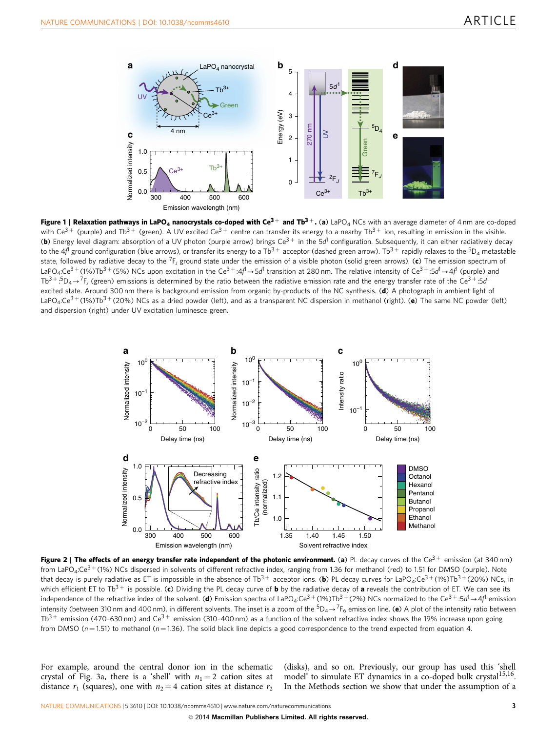<span id="page-2-0"></span>

Figure 1 | Relaxation pathways in LaPO<sub>4</sub> nanocrystals co-doped with Ce<sup>3+</sup> and Tb<sup>3+</sup>. (a) LaPO<sub>4</sub> NCs with an average diameter of 4 nm are co-doped with Ce<sup>3+</sup> (purple) and Tb<sup>3+</sup> (green). A UV excited Ce<sup>3+</sup> centre can transfer its energy to a nearby Tb<sup>3+</sup> ion, resulting in emission in the visible. (b) Energy level diagram: absorption of a UV photon (purple arrow) brings  $Ce^{3+}$  in the 5d<sup>1</sup> configuration. Subsequently, it can either radiatively decay to the 4f<sup>1</sup> ground configuration (blue arrows), or transfer its energy to a Tb<sup>3+</sup> acceptor (dashed green arrow). Tb<sup>3+</sup> rapidly relaxes to the <sup>5</sup>D<sub>4</sub> metastable state, followed by radiative decay to the <sup>7</sup>F<sub>I</sub> ground state under the emission of a visible photon (solid green arrows). (c) The emission spectrum of LaPO4:Ce $^{3+}$ (1%)Tb $^{3+}$ (5%) NCs upon excitation in the Ce $^{3+}:$ 4 $f^1$ → 5 $d^1$  transition at 280 nm. The relative intensity of Ce $^{3+}:$ 5 $d^1$ → 4 $f^1$  (purple) and Tb $^{3+}:5\mathsf{D}_4\to ^7\mathsf{F}_1$  (green) emissions is determined by the ratio between the radiative emission rate and the energy transfer rate of the Ce $^{3+}:5d$ excited state. Around 300 nm there is background emission from organic by-products of the NC synthesis. (d) A photograph in ambient light of LaPO<sub>4</sub>:Ce<sup>3+</sup>(1%)Tb<sup>3+</sup>(20%) NCs as a dried powder (left), and as a transparent NC dispersion in methanol (right). (e) The same NC powder (left) and dispersion (right) under UV excitation luminesce green.



Figure 2 | The effects of an energy transfer rate independent of the photonic environment. (a) PL decay curves of the Ce<sup>3+</sup> emission (at 340 nm) from LaPO<sub>4</sub>:Ce<sup>3+</sup> (1%) NCs dispersed in solvents of different refractive index, ranging from 1.36 for methanol (red) to 1.51 for DMSO (purple). Note that decay is purely radiative as ET is impossible in the absence of Tb<sup>3+</sup> acceptor ions. (b) PL decay curves for LaPO<sub>4</sub>:Ce<sup>3+</sup> (1%)Tb<sup>3+</sup> (20%) NCs, in which efficient ET to Tb<sup>3+</sup> is possible. (c) Dividing the PL decay curve of **b** by the radiative decay of a reveals the contribution of ET. We can see its independence of the refractive index of the solvent. (**d**) Emission spectra of LaPO<sub>4</sub>:Ce<sup>3 +</sup> (1%)Tb<sup>3 +</sup> (2%) NCs normalized to the Ce<sup>3 +</sup> :5d<sup>1</sup> → 4f<sup>1</sup> emission intensity (between 310 nm and 400 nm), in different solvents. The inset is a zoom of the  $5D_4 \rightarrow 7F_6$  emission line. (e) A plot of the intensity ratio between Tb<sup>3+</sup> emission (470-630 nm) and Ce<sup>3+</sup> emission (310-400 nm) as a function of the solvent refractive index shows the 19% increase upon going from DMSO ( $n = 1.51$ ) to methanol ( $n = 1.36$ ). The solid black line depicts a good correspondence to the trend expected from equation 4.

For example, around the central donor ion in the schematic crystal of [Fig. 3a,](#page-3-0) there is a 'shell' with  $n_1 = 2$  cation sites at distance  $r_1$  (squares), one with  $n_2 = 4$  cation sites at distance  $r_2$ 

(disks), and so on. Previously, our group has used this 'shell model' to simulate ET dynamics in a co-doped bulk crystal<sup>15,16</sup>. In the Methods section we show that under the assumption of a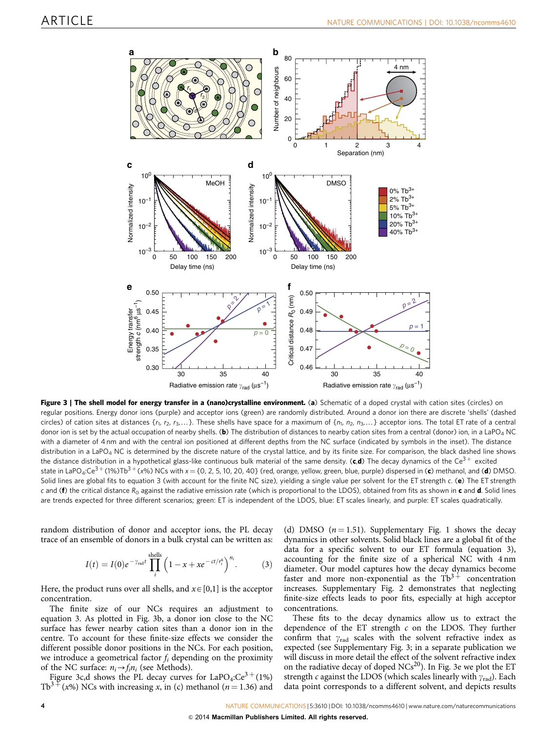<span id="page-3-0"></span>

Figure 3 | The shell model for energy transfer in a (nano)crystalline environment. (a) Schematic of a doped crystal with cation sites (circles) on regular positions. Energy donor ions (purple) and acceptor ions (green) are randomly distributed. Around a donor ion there are discrete 'shells' (dashed circles) of cation sites at distances  $\{r_1, r_2, r_3,...\}$ . These shells have space for a maximum of  $\{n_1, n_2, n_3,...\}$  acceptor ions. The total ET rate of a central donor ion is set by the actual occupation of nearby shells. (b) The distribution of distances to nearby cation sites from a central (donor) ion, in a LaPO<sub>4</sub> NC with a diameter of 4 nm and with the central ion positioned at different depths from the NC surface (indicated by symbols in the inset). The distance distribution in a LaPO<sub>4</sub> NC is determined by the discrete nature of the crystal lattice, and by its finite size. For comparison, the black dashed line shows the distance distribution in a hypothetical glass-like continuous bulk material of the same density. (c,d) The decay dynamics of the Ce<sup>3+</sup> excited state in LaPO<sub>4</sub>:Ce<sup>3+</sup> (1%)Tb<sup>3+</sup> (x%) NCs with x = {0, 2, 5, 10, 20, 40} (red, orange, yellow, green, blue, purple) dispersed in (c) methanol, and (d) DMSO. Solid lines are global fits to equation 3 (with account for the finite NC size), yielding a single value per solvent for the ET strength c. (e) The ET strength c and (f) the critical distance  $R_0$  against the radiative emission rate (which is proportional to the LDOS), obtained from fits as shown in c and d. Solid lines are trends expected for three different scenarios; green: ET is independent of the LDOS, blue: ET scales linearly, and purple: ET scales quadratically.

random distribution of donor and acceptor ions, the PL decay trace of an ensemble of donors in a bulk crystal can be written as:

$$
I(t) = I(0)e^{-\gamma_{\rm rad}t} \prod_{i}^{\rm shells} \left(1 - x + x e^{-ct/r_i^{\rm s}}\right)^{n_i}.
$$
 (3)

Here, the product runs over all shells, and  $x \in [0,1]$  is the acceptor concentration.

The finite size of our NCs requires an adjustment to equation 3. As plotted in Fig. 3b, a donor ion close to the NC surface has fewer nearby cation sites than a donor ion in the centre. To account for these finite-size effects we consider the different possible donor positions in the NCs. For each position, we introduce a geometrical factor  $f_i$  depending on the proximity of the NC surface:  $n_i \rightarrow f_i n_i$  (see Methods).

Figure 3c,d shows the PL decay curves for LaPO<sub>4</sub>: $Ce^{3+}(1\%)$ <br>Tb<sup>3+</sup>(x%) NCs with increasing x, in (c) methanol (n = 1.36) and  $f(x\%)$  NCs with increasing x, in (c) methanol (n = 1.36) and

(d) DMSO  $(n = 1.51)$ . Supplementary Fig. 1 shows the decay dynamics in other solvents. Solid black lines are a global fit of the data for a specific solvent to our ET formula (equation 3), accounting for the finite size of a spherical NC with 4 nm diameter. Our model captures how the decay dynamics become faster and more non-exponential as the  $\text{Tb}^{3+}$  concentration increases. Supplementary Fig. 2 demonstrates that neglecting finite-size effects leads to poor fits, especially at high acceptor concentrations.

These fits to the decay dynamics allow us to extract the dependence of the ET strength  $c$  on the LDOS. They further confirm that  $\gamma_{\rm rad}$  scales with the solvent refractive index as expected (see Supplementary Fig. 3; in a separate publication we will discuss in more detail the effect of the solvent refractive index on the radiative decay of doped  $NCs^{20}$ ). In Fig. 3e we plot the ET strength c against the LDOS (which scales linearly with  $\gamma_{rad}$ ). Each data point corresponds to a different solvent, and depicts results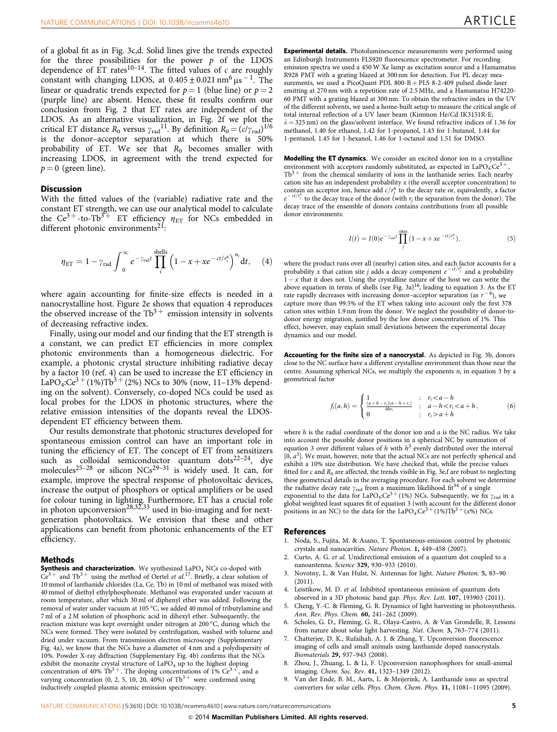<span id="page-4-0"></span>of a global fit as in [Fig. 3c,d](#page-3-0). Solid lines give the trends expected for the three possibilities for the power  $p$  of the LDOS dependence of  $ET$  rates<sup>[10–14](#page-5-0)</sup>. The fitted values of c are roughly constant with changing LDOS, at  $0.405 \pm 0.021$  nm<sup>6</sup>  $\mu$ s<sup>-1</sup>. The linear or quadratic trends expected for  $p = 1$  (blue line) or  $p = 2$ (purple line) are absent. Hence, these fit results confirm our conclusion from [Fig. 2](#page-2-0) that ET rates are independent of the LDOS. As an alternative visualization, in [Fig. 2f](#page-2-0) we plot the critical ET distance  $R_0$  versus  $\gamma_{\text{rad}}^{11}$ . By definition  $R_0 = (c/\gamma_{\text{rad}})^{1/6}$ is the donor–acceptor separation at which there is 50% probability of ET. We see that  $R_0$  becomes smaller with increasing LDOS, in agreement with the trend expected for  $p = 0$  (green line).

#### **Discussion**

With the fitted values of the (variable) radiative rate and the constant ET strength, we can use our analytical model to calculate the Ce<sup>3+</sup>-to-Tb<sup>3+</sup> ET efficiency  $\eta_{ET}$  for NCs embedded in different photonic environments<sup>[21](#page-5-0)</sup>:

$$
\eta_{\rm ET} = 1 - \gamma_{\rm rad} \int_0^\infty e^{-\gamma_{\rm rad} t} \prod_i^{\rm shells} \left(1 - x + x e^{-ct/r_i^6}\right)^{n_i} dt, \quad (4)
$$

where again accounting for finite-size effects is needed in a nanocrystalline host. [Figure 2e](#page-2-0) shows that equation 4 reproduces the observed increase of the  $Tb^{3+}$  emission intensity in solvents of decreasing refractive index.

Finally, using our model and our finding that the ET strength is a constant, we can predict ET efficiencies in more complex photonic environments than a homogeneous dielectric. For example, a photonic crystal structure inhibiting radiative decay by a factor 10 (ref. 4) can be used to increase the ET efficiency in LaPO<sub>4</sub>:Ce<sup>3+</sup>(1%)Tb<sup>3+</sup>(2%) NCs to 30% (now, 11–13% depending on the solvent). Conversely, co-doped NCs could be used as local probes for the LDOS in photonic structures, where the relative emission intensities of the dopants reveal the LDOSdependent ET efficiency between them.

Our results demonstrate that photonic structures developed for spontaneous emission control can have an important role in tuning the efficiency of ET. The concept of ET from sensitizers such as colloidal semiconductor quantum  $dots^{22-24}$ , dye molecules<sup>[25–28](#page-5-0)</sup> or silicon NCs<sup>[29–31](#page-5-0)</sup> is widely used. It can, for example, improve the spectral response of photovoltaic devices, increase the output of phosphors or optical amplifiers or be used for colour tuning in lighting. Furthermore, ET has a crucial role in photon upconversion<sup>[28,32,33](#page-5-0)</sup> used in bio-imaging and for nextgeneration photovoltaics. We envision that these and other applications can benefit from photonic enhancements of the ET efficiency.

#### Methods

**Synthesis and characterization.** We synthesized  $LaPO<sub>4</sub> NCs$  co-doped with  $Ce^{3+}$  and  $Tb^{3+}$  using the method of Oertel et al.<sup>17</sup>. Briefly, a clear solution of 10 mmol of lanthanide chlorides (La, Ce, Tb) in 10 ml of methanol was mixed with 40 mmol of diethyl ethylphosphonate. Methanol was evaporated under vacuum at room temperature, after which 30 ml of diphenyl ether was added. Following the removal of water under vacuum at 105 °C, we added 40 mmol of tributylamine and 7 ml of a 2 M solution of phosphoric acid in dihexyl ether. Subsequently, the reaction mixture was kept overnight under nitrogen at 200 °C, during which the NCs were formed. They were isolated by centrifugation, washed with toluene and dried under vacuum. From transmission electron microscopy (Supplementary Fig. 4a), we know that the NCs have a diameter of 4 nm and a polydispersity of 10%. Powder X-ray diffraction (Supplementary Fig. 4b) confirms that the NCs exhibit the monazite crystal structure of  $LaPO<sub>4</sub>$  up to the highest doping concentration of 40% Tb<sup>3+</sup>. The doping concentrations of 1% Ce<sup>3+</sup>, and a varying concentration (0, 2, 5, 10, 20, 40%) of  $\text{fb}^3$ <sup>+</sup> were confirmed using inductively coupled plasma atomic emission spectroscopy.

Experimental details. Photoluminescence measurements were performed using an Edinburgh Instruments FLS920 fluorescence spectrometer. For recording emission spectra we used a 450 W Xe lamp as excitation source and a Hamamatsu R928 PMT with a grating blazed at 300 nm for detection. For PL decay measurements, we used a PicoQuant PDL 800-B + PLS 8-2-409 pulsed diode laser emitting at 270 nm with a repetition rate of 2.5 MHz, and a Hamamatsu H74220- 60 PMT with a grating blazed at 300 nm. To obtain the refractive index in the UV of the different solvents, we used a home-built setup to measure the critical angle of total internal reflection of a UV laser beam (Kimmon He/Cd IK3151R-E;  $\lambda = 325$  nm) on the glass/solvent interface. We found refractive indices of 1.36 for methanol, 1.40 for ethanol, 1.42 for 1-propanol, 1.43 for 1-butanol, 1.44 for 1-pentanol, 1.45 for 1-hexanol, 1.46 for 1-octanol and 1.51 for DMSO.

Modelling the ET dynamics. We consider an excited donor ion in a crystalline environment with acceptors randomly substituted, as expected in  $LaPO<sub>4</sub>$ : $Ce<sup>3</sup>$  $Tb<sup>3+</sup>$  from the chemical similarity of ions in the lanthanide series. Each nearby cation site has an independent probability  $x$  (the overall acceptor concentration) to contain an acceptor ion, hence add  $c/r_j^6$  to the decay rate or, equivalently, a factor  $e^{-ct/r_j^6}$  to the decay trace of the donor (with  $r_j$  the separation from the donor). The decay trace of the ensemble of donors contains contributions from all possible donor environments:

$$
I(t) = I(0)e^{-\gamma_{\rm rad}t} \prod_{j}^{\rm sites} (1 - x + xe^{-ct/r_j^6}), \tag{5}
$$

where the product runs over all (nearby) cation sites, and each factor accounts for a probability x that cation site j adds a decay component  $e^{-ct/r_j^6}$  and a probability  $1 - x$  that it does not. Using the crystalline nature of the host we can write the above equation in terms of shells (see [Fig. 3a](#page-3-0))<sup>16</sup>, leading to equation 3. As the ET rate rapidly decreases with increasing donor-acceptor separation (as  $r^{-6}$ ), we capture more than 99.5% of the ET when taking into account only the first 378 cation sites within 1.9 nm from the donor. We neglect the possibility of donor-todonor energy migration, justified by the low donor concentration of 1%. This effect, however, may explain small deviations between the experimental decay dynamics and our model.

Accounting for the finite size of a nanocrystal. As depicted in [Fig. 3b,](#page-3-0) donors close to the NC surface have a different crystalline environment than those near the centre. Assuming spherical NCs, we multiply the exponents  $n_i$  in equation 3 by a geometrical factor

$$
f_i(a,h) = \begin{cases} \n\frac{1}{(a+h-r_i)(a-h+r_i)} & \text{; } \quad r_i < a-h \\
0 & \text{; } \quad r_i > a+h \\
0 & \text{; } \quad r_i > a+h\n\end{cases} \tag{6}
$$

where h is the radial coordinate of the donor ion and  $a$  is the NC radius. We take into account the possible donor positions in a spherical NC by summation of equation 3 over different values of h with  $h^3$  evenly distributed over the interval  $[0, a<sup>3</sup>]$ . We must, however, note that the actual NCs are not perfectly spherical and exhibit a 10% size distribution. We have checked that, while the precise values fitted for c and  $R_0$  are affected, the trends visible in [Fig. 3e,f](#page-3-0) are robust to neglecting these geometrical details in the averaging procedure. For each solvent we determine the radiative decay rate  $\gamma_{\text{rad}}$  from a maximum likelihood fit<sup>[34](#page-5-0)</sup> of a single exponential to the data for LaPO<sub>4</sub>:Ce<sup>3+</sup>(1%) NCs. Subsequently, we fix  $\gamma_{rad}$  in a global weighted least squares fit of equation 3 (with account for the different donor positions in an NC) to the data for the LaPO<sub>4</sub>:Ce<sup>3+</sup>(1%)Tb<sup>3+</sup>(x%) NCs.

#### **References**

- 1. Noda, S., Fujita, M. & Asano, T. Spontaneous-emission control by photonic crystals and nanocavities. Nature Photon. 1, 449–458 (2007).
- 2. Curto, A. G. et al. Unidirectional emission of a quantum dot coupled to a nanoantenna. Science 329, 930–933 (2010).
- 3. Novotny, L. & Van Hulst, N. Antennas for light. Nature Photon. 5, 83–90 (2011).
- Leistikow, M. D. et al. Inhibited spontaneous emission of quantum dots observed in a 3D photonic band gap. Phys. Rev. Lett. 107, 193903 (2011).
- 5. Cheng, Y.-C. & Fleming, G. R. Dynamics of light harvesting in photosynthesis. Ann. Rev. Phys. Chem. 60, 241-262 (2009).
- 6. Scholes, G. D., Fleming, G. R., Olaya-Castro, A. & Van Grondelle, R. Lessons from nature about solar light harvesting. Nat. Chem. 3, 763–774 (2011).
- 7. Chatterjee, D. K., Rufaihah, A. J. & Zhang, Y. Upconversion fluorescence imaging of cells and small animals using lanthanide doped nanocrystals. Biomaterials 29, 937–943 (2008).
- 8. Zhou, J., Zhuang, L. & Li, F. Upconversion nanophosphors for small-animal imaging. Chem. Soc. Rev. 41, 1323–1349 (2012).
- 9. Van der Ende, B. M., Aarts, L. & Meijerink, A. Lanthanide ions as spectral converters for solar cells. Phys. Chem. Chem. Phys. 11, 11081–11095 (2009).